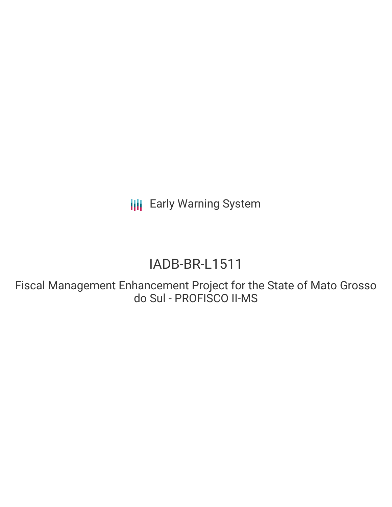**III** Early Warning System

# IADB-BR-L1511

Fiscal Management Enhancement Project for the State of Mato Grosso do Sul - PROFISCO II-MS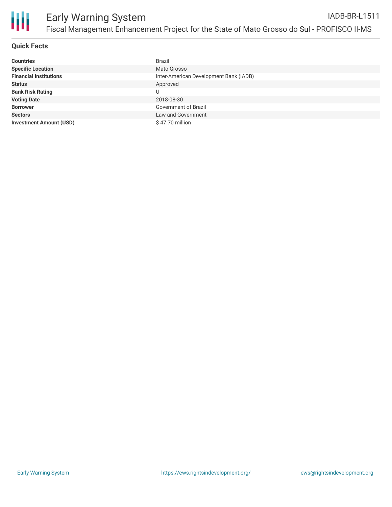

#### **Quick Facts**

| <b>Countries</b>               | <b>Brazil</b>                          |
|--------------------------------|----------------------------------------|
| <b>Specific Location</b>       | Mato Grosso                            |
| <b>Financial Institutions</b>  | Inter-American Development Bank (IADB) |
| <b>Status</b>                  | Approved                               |
| <b>Bank Risk Rating</b>        |                                        |
| <b>Voting Date</b>             | 2018-08-30                             |
| <b>Borrower</b>                | Government of Brazil                   |
| <b>Sectors</b>                 | Law and Government                     |
| <b>Investment Amount (USD)</b> | \$47.70 million                        |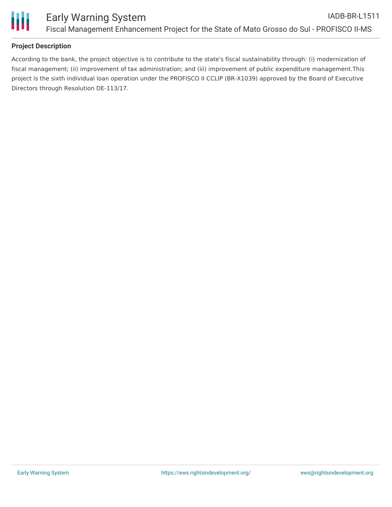

#### **Project Description**

According to the bank, the project objective is to contribute to the state's fiscal sustainability through: (i) modernization of fiscal management; (ii) improvement of tax administration; and (iii) improvement of public expenditure management.This project is the sixth individual loan operation under the PROFISCO II CCLIP (BR-X1039) approved by the Board of Executive Directors through Resolution DE-113/17.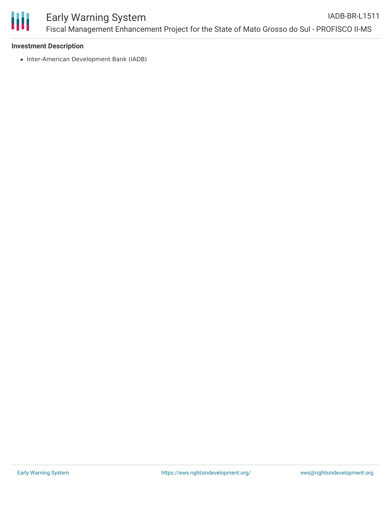

### **Investment Description**

• Inter-American Development Bank (IADB)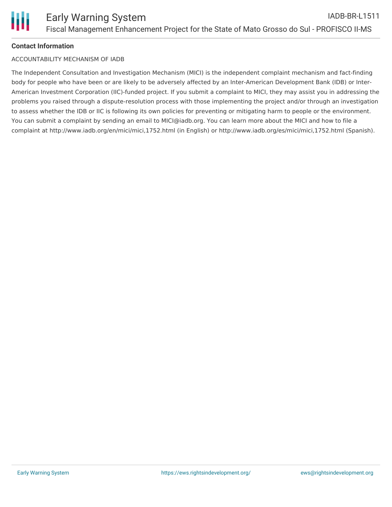# **Contact Information**

## ACCOUNTABILITY MECHANISM OF IADB

The Independent Consultation and Investigation Mechanism (MICI) is the independent complaint mechanism and fact-finding body for people who have been or are likely to be adversely affected by an Inter-American Development Bank (IDB) or Inter-American Investment Corporation (IIC)-funded project. If you submit a complaint to MICI, they may assist you in addressing the problems you raised through a dispute-resolution process with those implementing the project and/or through an investigation to assess whether the IDB or IIC is following its own policies for preventing or mitigating harm to people or the environment. You can submit a complaint by sending an email to MICI@iadb.org. You can learn more about the MICI and how to file a complaint at http://www.iadb.org/en/mici/mici,1752.html (in English) or http://www.iadb.org/es/mici/mici,1752.html (Spanish).